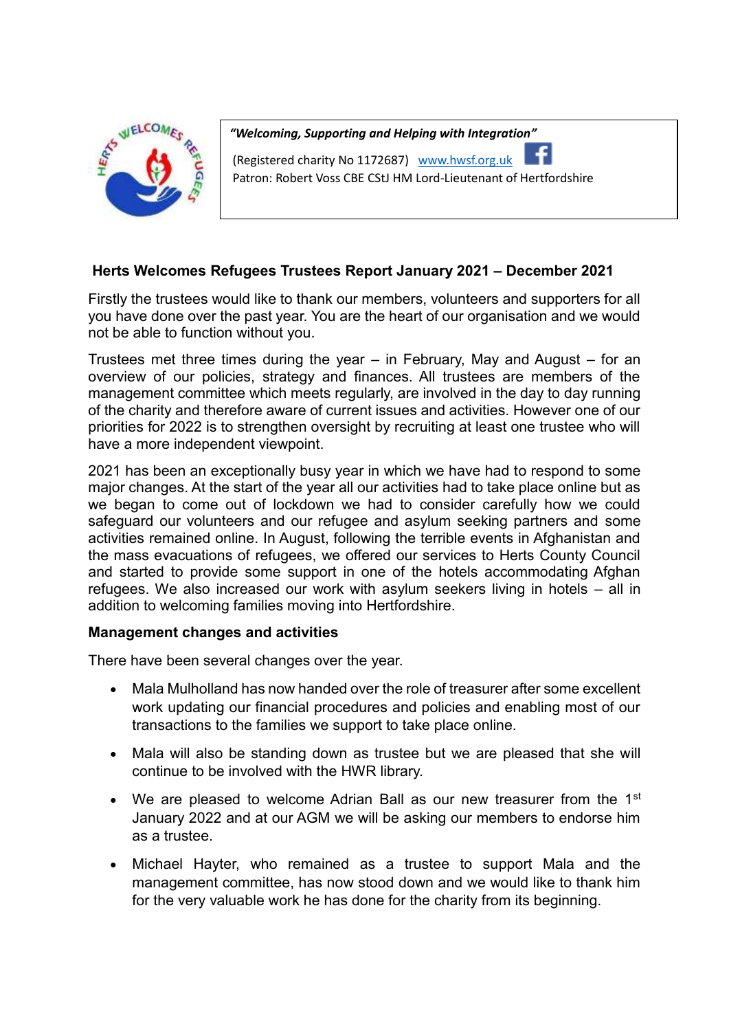

*"Welcoming, Supporting and Helping with Integration"*

(Registered charity No 1172687) www.hwsf.org.uk Patron: Robert Voss CBE CStJ HM Lord-Lieutenant of Hertfordshire

# **Herts Welcomes Refugees Trustees Report January 2021 – December 2021**

Firstly the trustees would like to thank our members, volunteers and supporters for all you have done over the past year. You are the heart of our organisation and we would not be able to function without you.

Trustees met three times during the year – in February, May and August – for an overview of our policies, strategy and finances. All trustees are members of the management committee which meets regularly, are involved in the day to day running of the charity and therefore aware of current issues and activities. However one of our priorities for 2022 is to strengthen oversight by recruiting at least one trustee who will have a more independent viewpoint.

2021 has been an exceptionally busy year in which we have had to respond to some major changes. At the start of the year all our activities had to take place online but as we began to come out of lockdown we had to consider carefully how we could safeguard our volunteers and our refugee and asylum seeking partners and some activities remained online. In August, following the terrible events in Afghanistan and the mass evacuations of refugees, we offered our services to Herts County Council and started to provide some support in one of the hotels accommodating Afghan refugees. We also increased our work with asylum seekers living in hotels – all in addition to welcoming families moving into Hertfordshire.

## **Management changes and activities**

There have been several changes over the year.

- Mala Mulholland has now handed over the role of treasurer after some excellent work updating our financial procedures and policies and enabling most of our transactions to the families we support to take place online.
- Mala will also be standing down as trustee but we are pleased that she will continue to be involved with the HWR library.
- We are pleased to welcome Adrian Ball as our new treasurer from the 1<sup>st</sup> January 2022 and at our AGM we will be asking our members to endorse him as a trustee.
- Michael Hayter, who remained as a trustee to support Mala and the management committee, has now stood down and we would like to thank him for the very valuable work he has done for the charity from its beginning.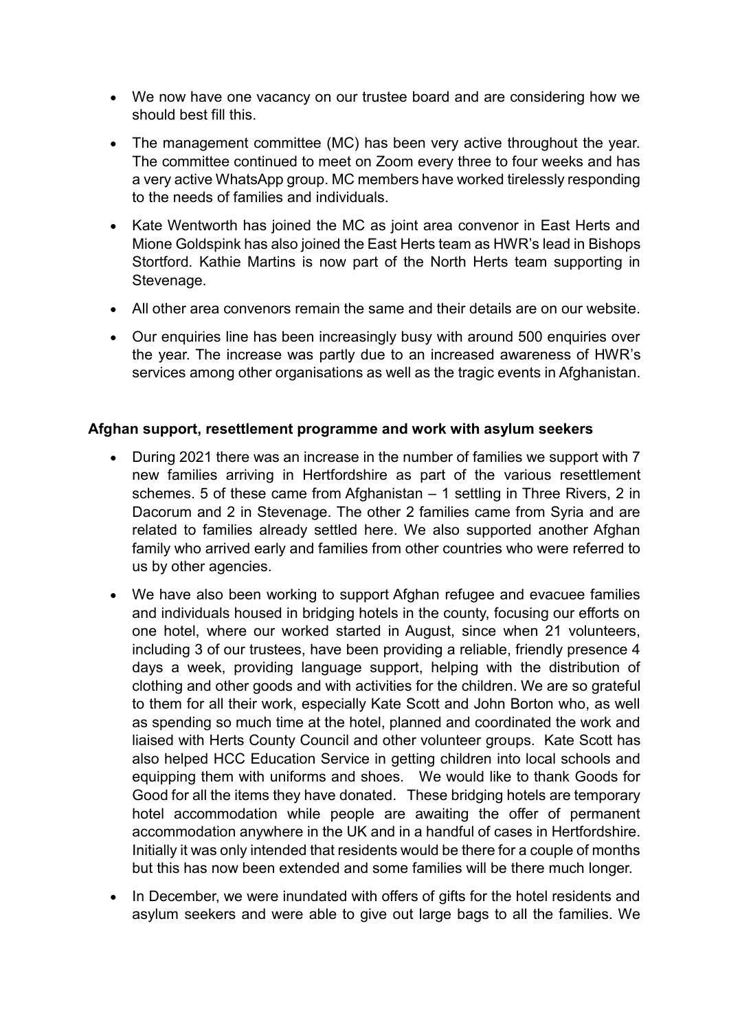- We now have one vacancy on our trustee board and are considering how we should best fill this.
- The management committee (MC) has been very active throughout the year. The committee continued to meet on Zoom every three to four weeks and has a very active WhatsApp group. MC members have worked tirelessly responding to the needs of families and individuals.
- Kate Wentworth has joined the MC as joint area convenor in East Herts and Mione Goldspink has also joined the East Herts team as HWR's lead in Bishops Stortford. Kathie Martins is now part of the North Herts team supporting in Stevenage.
- All other area convenors remain the same and their details are on our website.
- Our enquiries line has been increasingly busy with around 500 enquiries over the year. The increase was partly due to an increased awareness of HWR's services among other organisations as well as the tragic events in Afghanistan.

## **Afghan support, resettlement programme and work with asylum seekers**

- During 2021 there was an increase in the number of families we support with 7 new families arriving in Hertfordshire as part of the various resettlement schemes. 5 of these came from Afghanistan – 1 settling in Three Rivers, 2 in Dacorum and 2 in Stevenage. The other 2 families came from Syria and are related to families already settled here. We also supported another Afghan family who arrived early and families from other countries who were referred to us by other agencies.
- We have also been working to support Afghan refugee and evacuee families and individuals housed in bridging hotels in the county, focusing our efforts on one hotel, where our worked started in August, since when 21 volunteers, including 3 of our trustees, have been providing a reliable, friendly presence 4 days a week, providing language support, helping with the distribution of clothing and other goods and with activities for the children. We are so grateful to them for all their work, especially Kate Scott and John Borton who, as well as spending so much time at the hotel, planned and coordinated the work and liaised with Herts County Council and other volunteer groups. Kate Scott has also helped HCC Education Service in getting children into local schools and equipping them with uniforms and shoes. We would like to thank Goods for Good for all the items they have donated. These bridging hotels are temporary hotel accommodation while people are awaiting the offer of permanent accommodation anywhere in the UK and in a handful of cases in Hertfordshire. Initially it was only intended that residents would be there for a couple of months but this has now been extended and some families will be there much longer.
- In December, we were inundated with offers of gifts for the hotel residents and asylum seekers and were able to give out large bags to all the families. We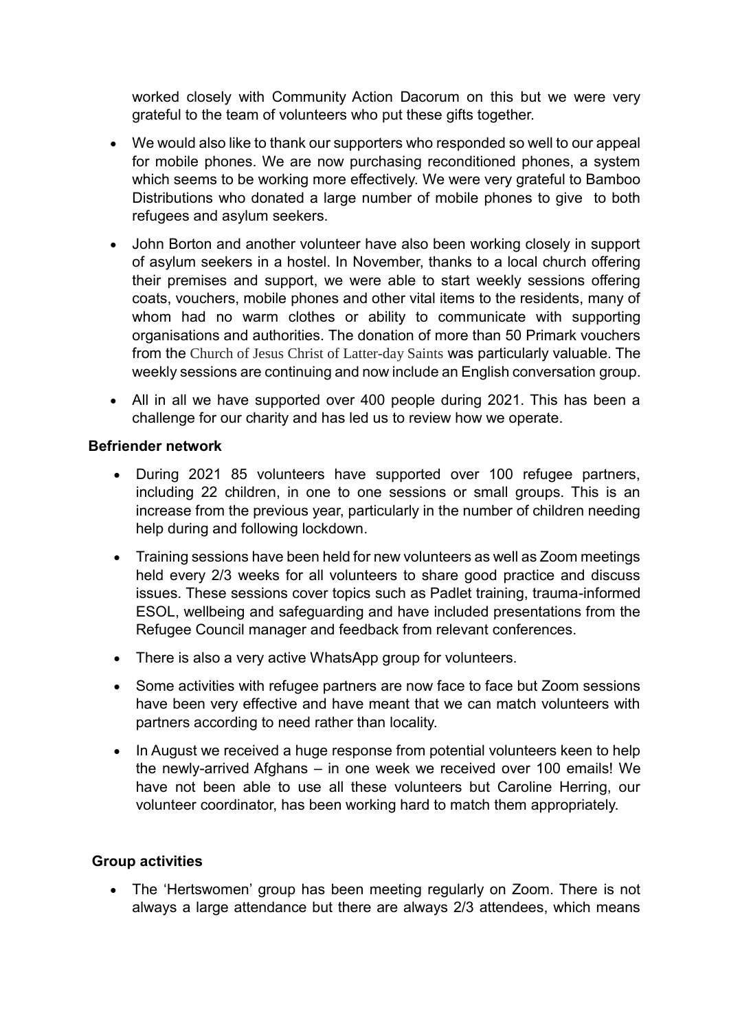worked closely with Community Action Dacorum on this but we were very grateful to the team of volunteers who put these gifts together.

- We would also like to thank our supporters who responded so well to our appeal for mobile phones. We are now purchasing reconditioned phones, a system which seems to be working more effectively. We were very grateful to Bamboo Distributions who donated a large number of mobile phones to give to both refugees and asylum seekers.
- John Borton and another volunteer have also been working closely in support of asylum seekers in a hostel. In November, thanks to a local church offering their premises and support, we were able to start weekly sessions offering coats, vouchers, mobile phones and other vital items to the residents, many of whom had no warm clothes or ability to communicate with supporting organisations and authorities. The donation of more than 50 Primark vouchers from the Church of Jesus Christ of Latter-day Saints was particularly valuable. The weekly sessions are continuing and now include an English conversation group.
- All in all we have supported over 400 people during 2021. This has been a challenge for our charity and has led us to review how we operate.

## **Befriender network**

- During 2021 85 volunteers have supported over 100 refugee partners, including 22 children, in one to one sessions or small groups. This is an increase from the previous year, particularly in the number of children needing help during and following lockdown.
- Training sessions have been held for new volunteers as well as Zoom meetings held every 2/3 weeks for all volunteers to share good practice and discuss issues. These sessions cover topics such as Padlet training, trauma-informed ESOL, wellbeing and safeguarding and have included presentations from the Refugee Council manager and feedback from relevant conferences.
- There is also a very active WhatsApp group for volunteers.
- Some activities with refugee partners are now face to face but Zoom sessions have been very effective and have meant that we can match volunteers with partners according to need rather than locality.
- In August we received a huge response from potential volunteers keen to help the newly-arrived Afghans – in one week we received over 100 emails! We have not been able to use all these volunteers but Caroline Herring, our volunteer coordinator, has been working hard to match them appropriately.

# **Group activities**

 The 'Hertswomen' group has been meeting regularly on Zoom. There is not always a large attendance but there are always 2/3 attendees, which means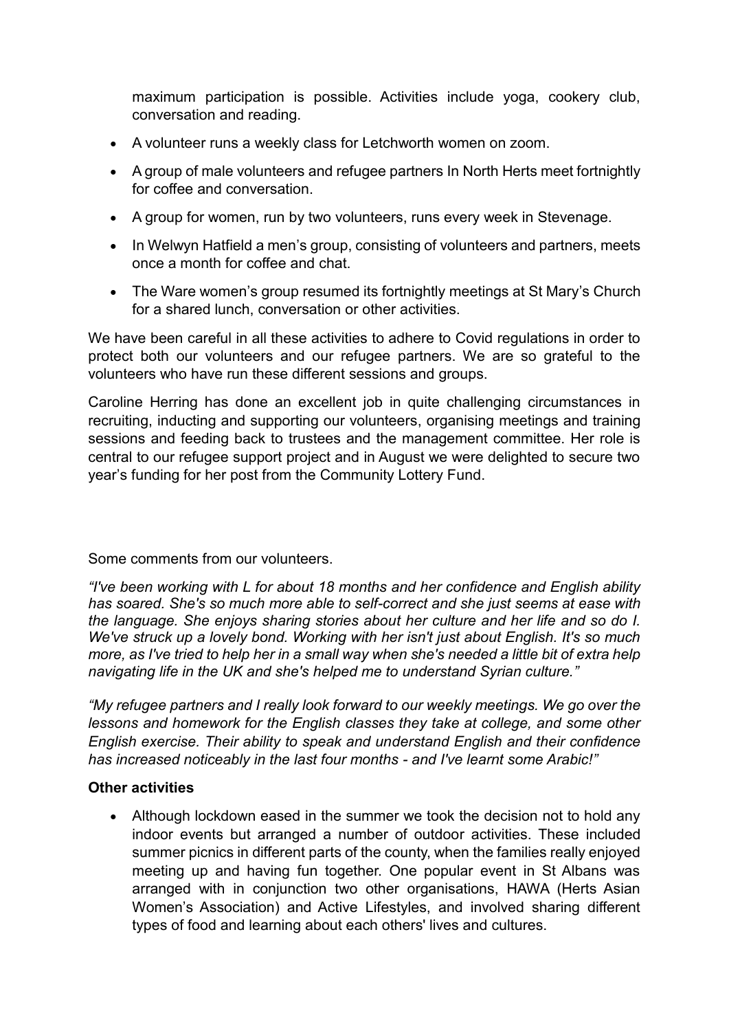maximum participation is possible. Activities include yoga, cookery club, conversation and reading.

- A volunteer runs a weekly class for Letchworth women on zoom.
- A group of male volunteers and refugee partners In North Herts meet fortnightly for coffee and conversation.
- A group for women, run by two volunteers, runs every week in Stevenage.
- In Welwyn Hatfield a men's group, consisting of volunteers and partners, meets once a month for coffee and chat.
- The Ware women's group resumed its fortnightly meetings at St Mary's Church for a shared lunch, conversation or other activities.

We have been careful in all these activities to adhere to Covid regulations in order to protect both our volunteers and our refugee partners. We are so grateful to the volunteers who have run these different sessions and groups.

Caroline Herring has done an excellent job in quite challenging circumstances in recruiting, inducting and supporting our volunteers, organising meetings and training sessions and feeding back to trustees and the management committee. Her role is central to our refugee support project and in August we were delighted to secure two year's funding for her post from the Community Lottery Fund.

Some comments from our volunteers.

*"I've been working with L for about 18 months and her confidence and English ability has soared. She's so much more able to self-correct and she just seems at ease with the language. She enjoys sharing stories about her culture and her life and so do I. We've struck up a lovely bond. Working with her isn't just about English. It's so much more, as I've tried to help her in a small way when she's needed a little bit of extra help navigating life in the UK and she's helped me to understand Syrian culture."*

*"My refugee partners and I really look forward to our weekly meetings. We go over the lessons and homework for the English classes they take at college, and some other English exercise. Their ability to speak and understand English and their confidence has increased noticeably in the last four months - and I've learnt some Arabic!"*

## **Other activities**

• Although lockdown eased in the summer we took the decision not to hold any indoor events but arranged a number of outdoor activities. These included summer picnics in different parts of the county, when the families really enjoyed meeting up and having fun together. One popular event in St Albans was arranged with in conjunction two other organisations, HAWA (Herts Asian Women's Association) and Active Lifestyles, and involved sharing different types of food and learning about each others' lives and cultures.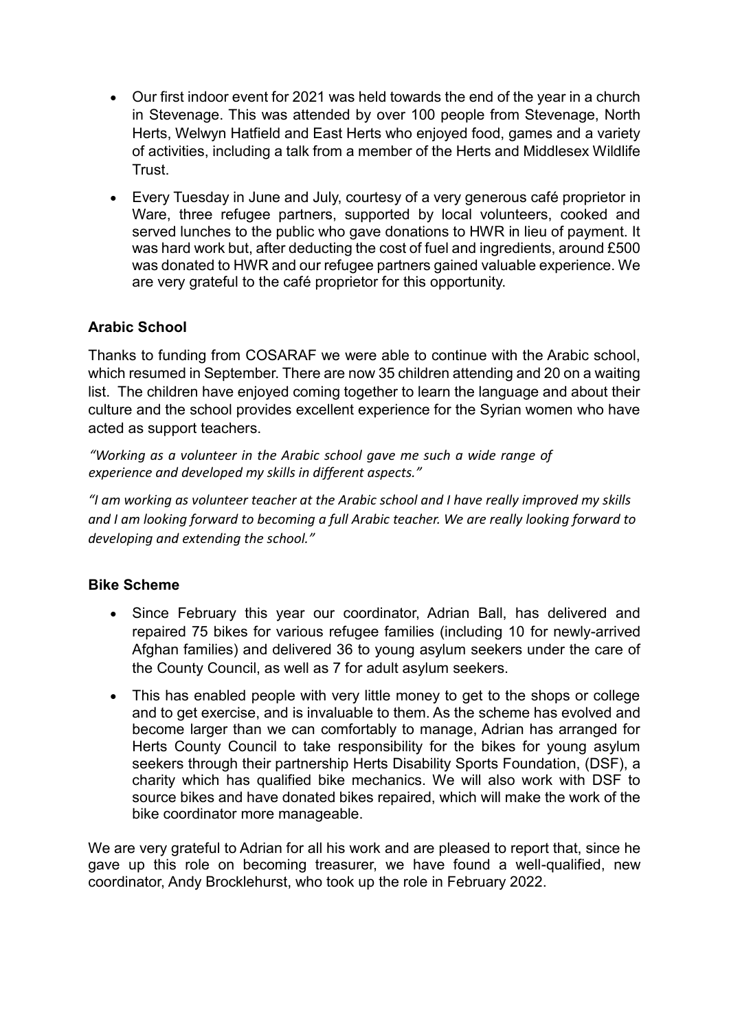- Our first indoor event for 2021 was held towards the end of the year in a church in Stevenage. This was attended by over 100 people from Stevenage, North Herts, Welwyn Hatfield and East Herts who enjoyed food, games and a variety of activities, including a talk from a member of the Herts and Middlesex Wildlife **Trust**
- Every Tuesday in June and July, courtesy of a very generous café proprietor in Ware, three refugee partners, supported by local volunteers, cooked and served lunches to the public who gave donations to HWR in lieu of payment. It was hard work but, after deducting the cost of fuel and ingredients, around £500 was donated to HWR and our refugee partners gained valuable experience. We are very grateful to the café proprietor for this opportunity.

# **Arabic School**

Thanks to funding from COSARAF we were able to continue with the Arabic school, which resumed in September. There are now 35 children attending and 20 on a waiting list. The children have enjoyed coming together to learn the language and about their culture and the school provides excellent experience for the Syrian women who have acted as support teachers.

*"Working as a volunteer in the Arabic school gave me such a wide range of experience and developed my skills in different aspects."*

*"I am working as volunteer teacher at the Arabic school and I have really improved my skills and I am looking forward to becoming a full Arabic teacher. We are really looking forward to developing and extending the school."* 

# **Bike Scheme**

- Since February this year our coordinator, Adrian Ball, has delivered and repaired 75 bikes for various refugee families (including 10 for newly-arrived Afghan families) and delivered 36 to young asylum seekers under the care of the County Council, as well as 7 for adult asylum seekers.
- This has enabled people with very little money to get to the shops or college and to get exercise, and is invaluable to them. As the scheme has evolved and become larger than we can comfortably to manage, Adrian has arranged for Herts County Council to take responsibility for the bikes for young asylum seekers through their partnership Herts Disability Sports Foundation, (DSF), a charity which has qualified bike mechanics. We will also work with DSF to source bikes and have donated bikes repaired, which will make the work of the bike coordinator more manageable.

We are very grateful to Adrian for all his work and are pleased to report that, since he gave up this role on becoming treasurer, we have found a well-qualified, new coordinator, Andy Brocklehurst, who took up the role in February 2022.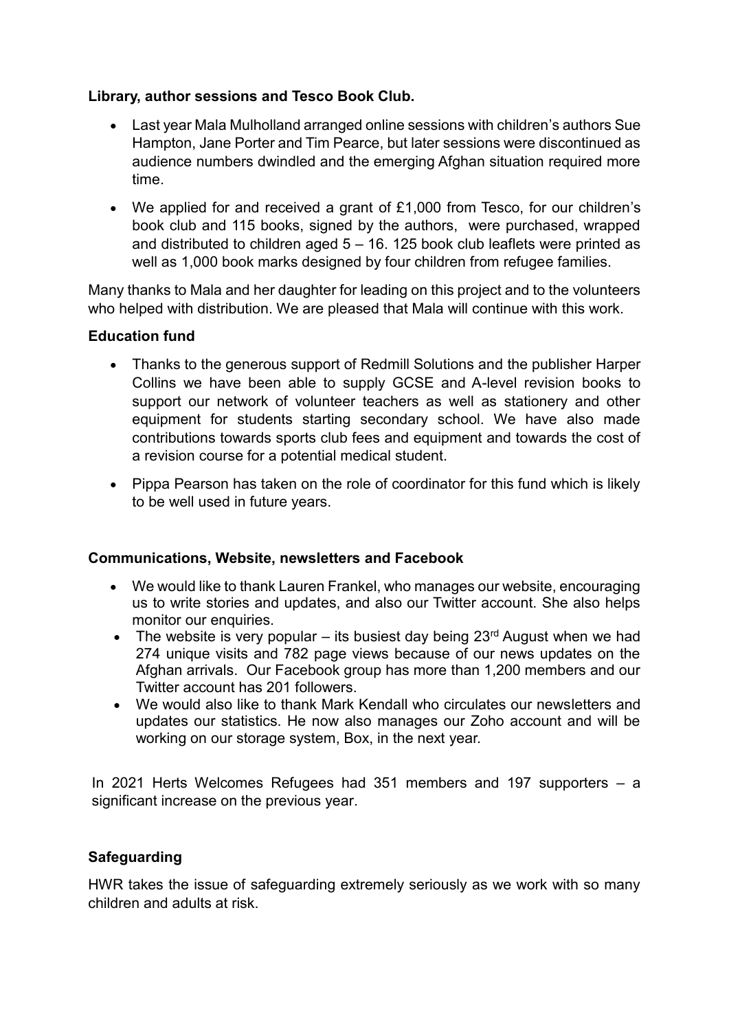## **Library, author sessions and Tesco Book Club.**

- Last year Mala Mulholland arranged online sessions with children's authors Sue Hampton, Jane Porter and Tim Pearce, but later sessions were discontinued as audience numbers dwindled and the emerging Afghan situation required more time.
- We applied for and received a grant of £1,000 from Tesco, for our children's book club and 115 books, signed by the authors, were purchased, wrapped and distributed to children aged  $5 - 16$ . 125 book club leaflets were printed as well as 1,000 book marks designed by four children from refugee families.

Many thanks to Mala and her daughter for leading on this project and to the volunteers who helped with distribution. We are pleased that Mala will continue with this work.

## **Education fund**

- Thanks to the generous support of Redmill Solutions and the publisher Harper Collins we have been able to supply GCSE and A-level revision books to support our network of volunteer teachers as well as stationery and other equipment for students starting secondary school. We have also made contributions towards sports club fees and equipment and towards the cost of a revision course for a potential medical student.
- Pippa Pearson has taken on the role of coordinator for this fund which is likely to be well used in future years.

## **Communications, Website, newsletters and Facebook**

- We would like to thank Lauren Frankel, who manages our website, encouraging us to write stories and updates, and also our Twitter account. She also helps monitor our enquiries.
- The website is very popular its busiest day being  $23<sup>rd</sup>$  August when we had 274 unique visits and 782 page views because of our news updates on the Afghan arrivals. Our Facebook group has more than 1,200 members and our Twitter account has 201 followers.
- We would also like to thank Mark Kendall who circulates our newsletters and updates our statistics. He now also manages our Zoho account and will be working on our storage system, Box, in the next year.

In 2021 Herts Welcomes Refugees had 351 members and 197 supporters – a significant increase on the previous year.

# **Safeguarding**

HWR takes the issue of safeguarding extremely seriously as we work with so many children and adults at risk.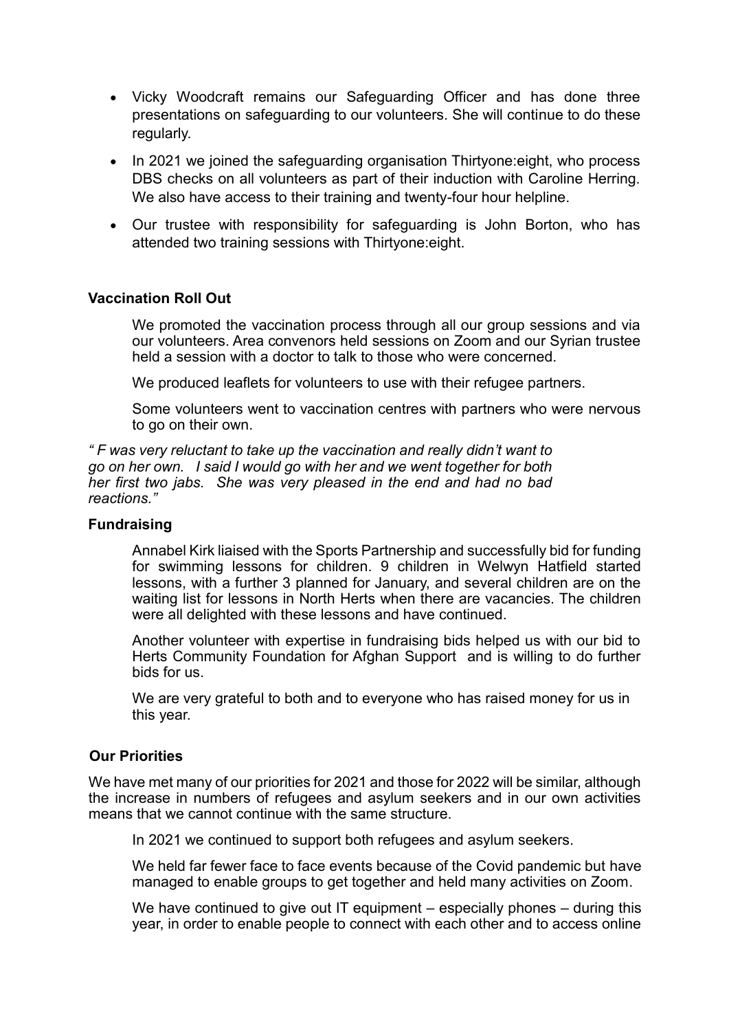- Vicky Woodcraft remains our Safeguarding Officer and has done three presentations on safeguarding to our volunteers. She will continue to do these regularly.
- In 2021 we joined the safeguarding organisation Thirtyone: eight, who process DBS checks on all volunteers as part of their induction with Caroline Herring. We also have access to their training and twenty-four hour helpline.
- Our trustee with responsibility for safeguarding is John Borton, who has attended two training sessions with Thirtyone:eight.

## **Vaccination Roll Out**

We promoted the vaccination process through all our group sessions and via our volunteers. Area convenors held sessions on Zoom and our Syrian trustee held a session with a doctor to talk to those who were concerned.

We produced leaflets for volunteers to use with their refugee partners.

Some volunteers went to vaccination centres with partners who were nervous to go on their own.

*" F was very reluctant to take up the vaccination and really didn't want to go on her own. I said I would go with her and we went together for both her first two jabs. She was very pleased in the end and had no bad reactions."* 

#### **Fundraising**

Annabel Kirk liaised with the Sports Partnership and successfully bid for funding for swimming lessons for children. 9 children in Welwyn Hatfield started lessons, with a further 3 planned for January, and several children are on the waiting list for lessons in North Herts when there are vacancies. The children were all delighted with these lessons and have continued.

Another volunteer with expertise in fundraising bids helped us with our bid to Herts Community Foundation for Afghan Support and is willing to do further bids for us.

We are very grateful to both and to everyone who has raised money for us in this year.

#### **Our Priorities**

We have met many of our priorities for 2021 and those for 2022 will be similar, although the increase in numbers of refugees and asylum seekers and in our own activities means that we cannot continue with the same structure.

In 2021 we continued to support both refugees and asylum seekers.

We held far fewer face to face events because of the Covid pandemic but have managed to enable groups to get together and held many activities on Zoom.

We have continued to give out IT equipment – especially phones – during this year, in order to enable people to connect with each other and to access online